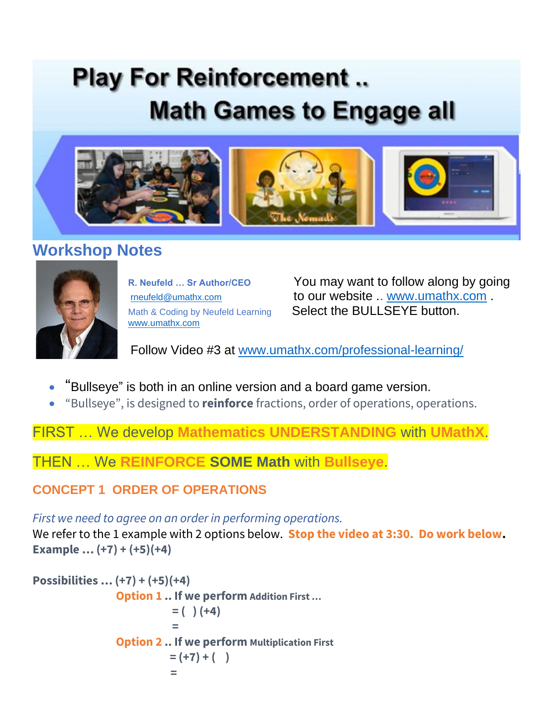# **Play For Reinforcement... Math Games to Engage all**



# **Workshop Notes**



[www.umathx.com](http://www.umathx.com/)

**R. Neufeld … Sr Author/CEO** You may want to follow along by going [rneufeld@umathx.com](mailto:rneufeld@umathx.com%09%09%09t) **[to](mailto:rneufeld@umathx.com%09%09%09t) our website .. [www.umathx.com](http://www.umathx.com/)** Math & Coding by Neufeld Learning Select the BULLSEYE button.

Follow Video #3 at [www.umathx.com/professional-learning/](http://www.umathx.com/professional-learning/)

- "Bullseye" is both in an online version and a board game version.
- "Bullseye", is designed to **reinforce** fractions, order of operations, operations.

FIRST … We develop **Mathematics UNDERSTANDING** with **UMathX**.

THEN … We **REINFORCE SOME Math** with **Bullseye**.

### **CONCEPT 1 ORDER OF OPERATIONS**

*First we need to agree on an order in performing operations.*

We refer to the 1 example with 2 options below. **Stop the video at 3:30. Do work below. Example … (+7) + (+5)(+4)**

```
Possibilities … (+7) + (+5)(+4)
              Option 1 .. If we perform Addition First …
                        = ( ) (+4)
=
               Option 2 .. If we perform Multiplication First 
                       = (+7) + (-) =
```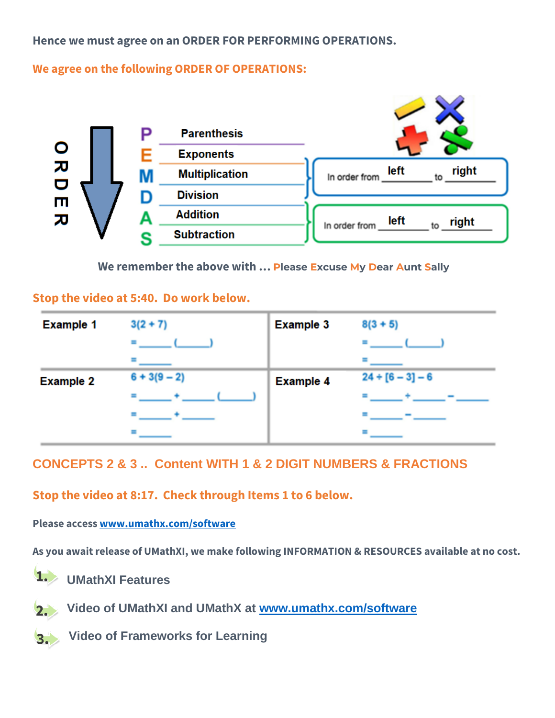**Hence we must agree on an ORDER FOR PERFORMING OPERATIONS.** 

**We agree on the following ORDER OF OPERATIONS:**



**We remember the above with … Please Excuse My Dear Aunt Sally**

#### **Stop the video at 5:40. Do work below.**

| <b>Example 1</b> | $3(2 + 7)$     | <b>Example 3</b> | $8(3 + 5)$         |
|------------------|----------------|------------------|--------------------|
|                  |                |                  |                    |
|                  |                |                  |                    |
| <b>Example 2</b> | $6 + 3(9 - 2)$ | <b>Example 4</b> | $24 + [6 - 3] - 6$ |
|                  |                |                  |                    |
|                  |                |                  |                    |
|                  |                |                  |                    |

#### **CONCEPTS 2 & 3 .. Content WITH 1 & 2 DIGIT NUMBERS & FRACTIONS**

**Stop the video at 8:17. Check through Items 1 to 6 below.**

**Please access [www.umathx.com/software](http://www.umathx.com/software)**

**As you await release of UMathXI, we make following INFORMATION & RESOURCES available at no cost.**



 $2.$ 

**Video of UMathXI and UMathX at [www.umathx.com/software](http://www.umathx.com/software)**

**Video of Frameworks for Learning** $3.$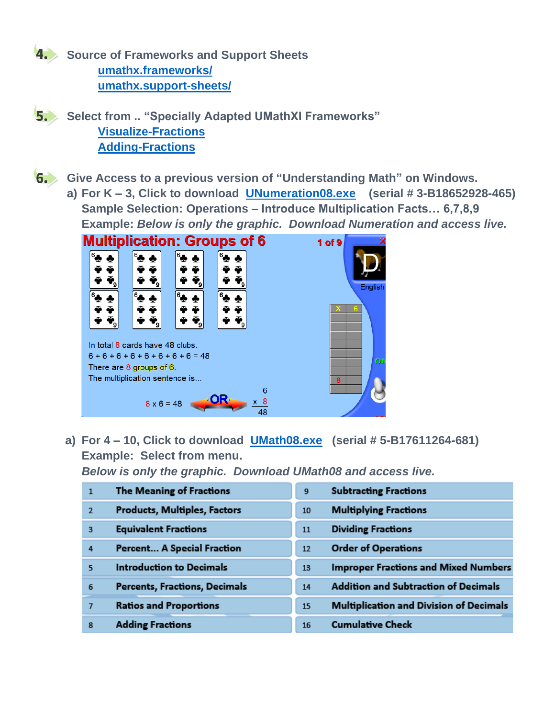

**4. Source of Frameworks and Support Sheets [umathx.frameworks/](https://www.umathx.com/umathx-frameworks/) [umathx.support-sheets/](https://www.umathx.com/support-sheets/)**

**5.** Select from .. "Specially Adapted UMathXI Frameworks" **[Visualize-Fractions](https://www.umathx.com/wp-content/uploads/Lesson-Visualize-Fractions-with-Pattern-Blocks-Licorice-and-JuJubes.pdf) [Adding-Fractions](https://www.umathx.com/wp-content/uploads/Lesson-Adding-Fractions-with-Understanding.pdf)**

**Give Access to a previous version of "Understanding Math" on Windows.**

**a) For K – 3, Click to download [UNumeration08.exe](https://www.umathx.com/UNum08.exe) (serial # 3-B18652928-465) Sample Selection: Operations – Introduce Multiplication Facts… 6,7,8,9 Example:** *Below is only the graphic. Download Numeration and access live.*



**a) For 4 – 10, Click to download [UMath08.exe](https://www.umathx.com/Umath08.exe) (serial # 5-B17611264-681) Example: Select from menu.** 

*Below is only the graphic. Download UMath08 and access live.*

| $\mathbf{1}$             | The Meaning of Fractions             | 9  | <b>Subtracting Fractions</b>                   |
|--------------------------|--------------------------------------|----|------------------------------------------------|
| $\overline{2}$           | <b>Products, Multiples, Factors</b>  | 10 | <b>Multiplying Fractions</b>                   |
| 3                        | <b>Equivalent Fractions</b>          | 11 | <b>Dividing Fractions</b>                      |
| 4                        | <b>Percent A Special Fraction</b>    | 12 | <b>Order of Operations</b>                     |
| $\overline{\phantom{0}}$ | <b>Introduction to Decimals</b>      | 13 | <b>Improper Fractions and Mixed Numbers</b>    |
| 6                        | <b>Percents, Fractions, Decimals</b> | 14 | <b>Addition and Subtraction of Decimals</b>    |
| $\overline{7}$           | <b>Ratios and Proportions</b>        | 15 | <b>Multiplication and Division of Decimals</b> |
| 8                        | <b>Adding Fractions</b>              | 16 | <b>Cumulative Check</b>                        |